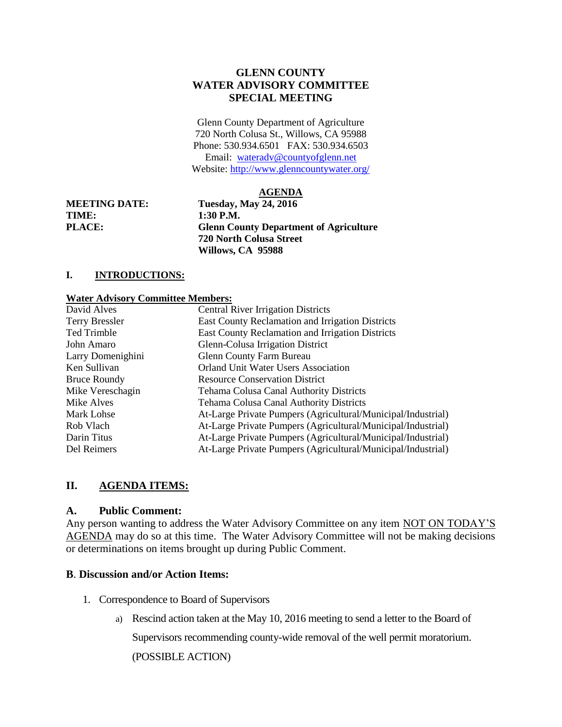# **GLENN COUNTY WATER ADVISORY COMMITTEE SPECIAL MEETING**

Glenn County Department of Agriculture 720 North Colusa St., Willows, CA 95988 Phone: 530.934.6501 FAX: 530.934.6503 Email: [wateradv@countyofglenn.net](mailto:wateradv@countyofglenn.net) Website:<http://www.glenncountywater.org/>

### **AGENDA**

**TIME: 1:30 P.M.** 

**MEETING DATE: Tuesday, May 24, 2016 PLACE: Glenn County Department of Agriculture 720 North Colusa Street Willows, CA 95988**

## **I. INTRODUCTIONS:**

### **Water Advisory Committee Members:**

| David Alves           | <b>Central River Irrigation Districts</b>                    |
|-----------------------|--------------------------------------------------------------|
| <b>Terry Bressler</b> | East County Reclamation and Irrigation Districts             |
| Ted Trimble           | East County Reclamation and Irrigation Districts             |
| John Amaro            | Glenn-Colusa Irrigation District                             |
| Larry Domenighini     | <b>Glenn County Farm Bureau</b>                              |
| Ken Sullivan          | <b>Orland Unit Water Users Association</b>                   |
| <b>Bruce Roundy</b>   | <b>Resource Conservation District</b>                        |
| Mike Vereschagin      | <b>Tehama Colusa Canal Authority Districts</b>               |
| Mike Alves            | Tehama Colusa Canal Authority Districts                      |
| Mark Lohse            | At-Large Private Pumpers (Agricultural/Municipal/Industrial) |
| Rob Vlach             | At-Large Private Pumpers (Agricultural/Municipal/Industrial) |
| Darin Titus           | At-Large Private Pumpers (Agricultural/Municipal/Industrial) |
| Del Reimers           | At-Large Private Pumpers (Agricultural/Municipal/Industrial) |

## **II. AGENDA ITEMS:**

## **A. Public Comment:**

Any person wanting to address the Water Advisory Committee on any item NOT ON TODAY'S AGENDA may do so at this time. The Water Advisory Committee will not be making decisions or determinations on items brought up during Public Comment.

### **B**. **Discussion and/or Action Items:**

- 1. Correspondence to Board of Supervisors
	- a) Rescind action taken at the May 10, 2016 meeting to send a letter to the Board of

Supervisors recommending county-wide removal of the well permit moratorium.

(POSSIBLE ACTION)